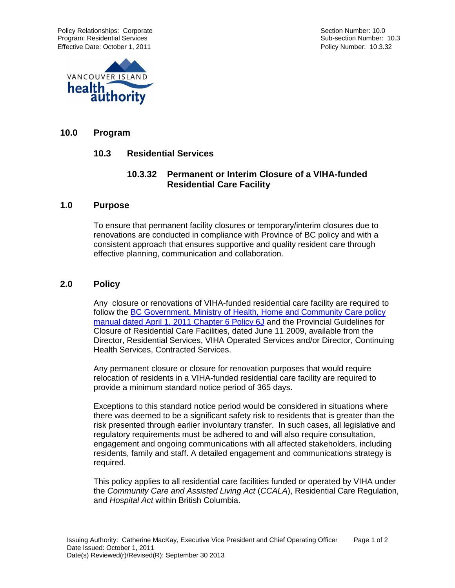Policy Relationships: Corporate **Section Number: 10.0** Section Number: 10.0 Program: Residential Services Sub-section Number: 10.3 Effective Date: October 1, 2011 **Policy Rules 2012** Policy Number: 10.3.32



### **10.0 Program**

### **10.3 Residential Services**

# **10.3.32 Permanent or Interim Closure of a VIHA-funded Residential Care Facility**

#### **1.0 Purpose**

To ensure that permanent facility closures or temporary/interim closures due to renovations are conducted in compliance with Province of BC policy and with a consistent approach that ensures supportive and quality resident care through effective planning, communication and collaboration.

### **2.0 Policy**

Any closure or renovations of VIHA-funded residential care facility are required to follow the [BC Government, Ministry of Health, Home and Community Care policy](http://www.health.gov.bc.ca/hcc/pdf/residential-care-services.pdf)  [manual dated April 1, 2011 Chapter 6 Policy 6J](http://www.health.gov.bc.ca/hcc/pdf/residential-care-services.pdf) and the Provincial Guidelines for Closure of Residential Care Facilities, dated June 11 2009, available from the Director, Residential Services, VIHA Operated Services and/or Director, Continuing Health Services, Contracted Services.

Any permanent closure or closure for renovation purposes that would require relocation of residents in a VIHA-funded residential care facility are required to provide a minimum standard notice period of 365 days.

Exceptions to this standard notice period would be considered in situations where there was deemed to be a significant safety risk to residents that is greater than the risk presented through earlier involuntary transfer. In such cases, all legislative and regulatory requirements must be adhered to and will also require consultation, engagement and ongoing communications with all affected stakeholders, including residents, family and staff. A detailed engagement and communications strategy is required.

This policy applies to all residential care facilities funded or operated by VIHA under the *Community Care and Assisted Living Act* (*CCALA*), Residential Care Regulation, and *Hospital Act* within British Columbia.